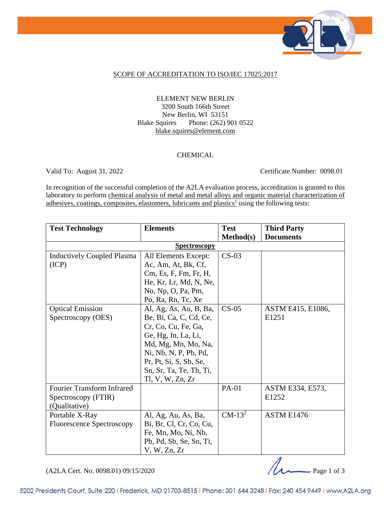

### SCOPE OF ACCREDITATION TO ISO/IEC 17025:2017

### ELEMENT NEW BERLIN 3200 South 166th Street New Berlin, WI 53151 Blake Squires Phone: (262) 901 0522 blake.squires@element.com

#### CHEMICAL

Valid To: August 31, 2022 Certificate Number: 0098.01

In recognition of the successful completion of the A2LA evaluation process, accreditation is granted to this laboratory to perform chemical analysis of metal and metal alloys and organic material characterization of adhesives, coatings, composites, elastomers, lubricants and plastics<sup>1</sup> using the following tests:

| <b>Test Technology</b>            | <b>Elements</b>         | <b>Test</b>  | <b>Third Party</b> |  |  |
|-----------------------------------|-------------------------|--------------|--------------------|--|--|
|                                   |                         | Method(s)    | <b>Documents</b>   |  |  |
| <b>Spectroscopy</b>               |                         |              |                    |  |  |
| <b>Inductively Coupled Plasma</b> | All Elements Except:    | $CS-03$      |                    |  |  |
| (ICP)                             | Ac, Am, At, Bk, Cf,     |              |                    |  |  |
|                                   | Cm, Es, F, Fm, Fr, H,   |              |                    |  |  |
|                                   | He, Kr, Lr, Md, N, Ne,  |              |                    |  |  |
|                                   | No, Np, O, Pa, Pm,      |              |                    |  |  |
|                                   | Po, Ra, Rn, Tc, Xe      |              |                    |  |  |
| <b>Optical Emission</b>           | Al, Ag, As, Au, B, Ba,  | $CS-05$      | ASTM E415, E1086,  |  |  |
| Spectroscopy (OES)                | Be, Bi, Ca, C, Cd, Ce,  |              | E1251              |  |  |
|                                   | Cr, Co, Cu, Fe, Ga,     |              |                    |  |  |
|                                   | Ge, Hg, In, La, Li,     |              |                    |  |  |
|                                   | Md, Mg, Mn, Mo, Na,     |              |                    |  |  |
|                                   | Ni, Nb, N, P, Pb, Pd,   |              |                    |  |  |
|                                   | Pr, Pt, Si, S, Sb, Se,  |              |                    |  |  |
|                                   | Sn, Sr, Ta, Te, Th, Ti, |              |                    |  |  |
|                                   | Tl, V, W, Zn, Zr        |              |                    |  |  |
| <b>Fourier Transform Infrared</b> |                         | <b>PA-01</b> | ASTM E334, E573,   |  |  |
| Spectroscopy (FTIR)               |                         |              | E1252              |  |  |
| (Qualitative)                     |                         |              |                    |  |  |
| Portable X-Ray                    | Al, Ag, Au, As, Ba,     | $CM-13^2$    | ASTM E1476         |  |  |
| <b>Fluorescence Spectroscopy</b>  | Bi, Br, Cl, Cr, Co, Cu, |              |                    |  |  |
|                                   | Fe, Mn, Mo, Ni, Nb,     |              |                    |  |  |
|                                   | Pb, Pd, Sb, Se, Sn, Ti, |              |                    |  |  |
|                                   | V, W, Zn, Zr            |              |                    |  |  |

(A2LA Cert. No. 0098.01) 09/15/2020 Page 1 of 3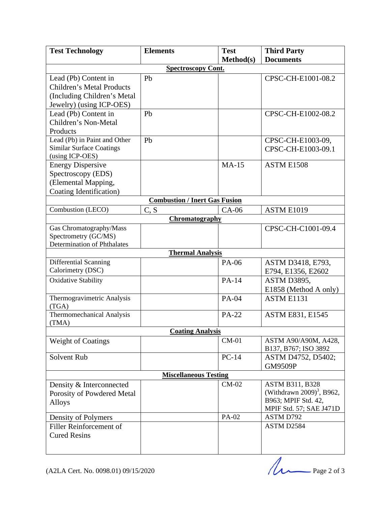| <b>Test Technology</b>              | <b>Elements</b>                      | <b>Test</b>  | <b>Third Party</b>                    |  |  |  |
|-------------------------------------|--------------------------------------|--------------|---------------------------------------|--|--|--|
|                                     |                                      | Method(s)    | <b>Documents</b>                      |  |  |  |
| <b>Spectroscopy Cont.</b>           |                                      |              |                                       |  |  |  |
| Lead (Pb) Content in                | Pb                                   |              | CPSC-CH-E1001-08.2                    |  |  |  |
| <b>Children's Metal Products</b>    |                                      |              |                                       |  |  |  |
| (Including Children's Metal)        |                                      |              |                                       |  |  |  |
| Jewelry) (using ICP-OES)            |                                      |              |                                       |  |  |  |
| Lead (Pb) Content in                | Pb                                   |              | CPSC-CH-E1002-08.2                    |  |  |  |
| Children's Non-Metal                |                                      |              |                                       |  |  |  |
| Products                            |                                      |              |                                       |  |  |  |
| Lead (Pb) in Paint and Other        | Pb                                   |              | CPSC-CH-E1003-09,                     |  |  |  |
| <b>Similar Surface Coatings</b>     |                                      |              | CPSC-CH-E1003-09.1                    |  |  |  |
| (using ICP-OES)                     |                                      |              |                                       |  |  |  |
| <b>Energy Dispersive</b>            |                                      | $MA-15$      | ASTM E1508                            |  |  |  |
| Spectroscopy (EDS)                  |                                      |              |                                       |  |  |  |
| (Elemental Mapping,                 |                                      |              |                                       |  |  |  |
| Coating Identification)             |                                      |              |                                       |  |  |  |
|                                     | <b>Combustion / Inert Gas Fusion</b> |              |                                       |  |  |  |
| Combustion (LECO)                   | C, S                                 | $CA-06$      | ASTM E1019                            |  |  |  |
|                                     | Chromatography                       |              |                                       |  |  |  |
| Gas Chromatography/Mass             |                                      |              | CPSC-CH-C1001-09.4                    |  |  |  |
| Spectrometry (GC/MS)                |                                      |              |                                       |  |  |  |
| <b>Determination of Phthalates</b>  |                                      |              |                                       |  |  |  |
|                                     | <b>Thermal Analysis</b>              |              |                                       |  |  |  |
| Differential Scanning               |                                      | PA-06        | ASTM D3418, E793,                     |  |  |  |
| Calorimetry (DSC)                   |                                      |              | E794, E1356, E2602                    |  |  |  |
| <b>Oxidative Stability</b>          |                                      | PA-14        | ASTM D3895,                           |  |  |  |
|                                     |                                      |              | E1858 (Method A only)                 |  |  |  |
| Thermogravimetric Analysis          |                                      | PA-04        | ASTM E1131                            |  |  |  |
| (TGA)                               |                                      |              |                                       |  |  |  |
| Thermomechanical Analysis           |                                      | <b>PA-22</b> | <b>ASTM E831, E1545</b>               |  |  |  |
| (TMA)                               |                                      |              |                                       |  |  |  |
| <b>Coating Analysis</b>             |                                      |              |                                       |  |  |  |
| <b>Weight of Coatings</b>           |                                      | $CM-01$      | ASTM A90/A90M, A428,                  |  |  |  |
|                                     |                                      |              | B137, B767; ISO 3892                  |  |  |  |
| Solvent Rub                         |                                      | $PC-14$      | ASTM D4752, D5402;                    |  |  |  |
|                                     |                                      |              | <b>GM9509P</b>                        |  |  |  |
| <b>Miscellaneous Testing</b>        |                                      |              |                                       |  |  |  |
| Density & Interconnected            |                                      | $CM-02$      | <b>ASTM B311, B328</b>                |  |  |  |
| Porosity of Powdered Metal          |                                      |              | (Withdrawn 2009) <sup>3</sup> , B962, |  |  |  |
| Alloys                              |                                      |              | B963; MPIF Std. 42,                   |  |  |  |
|                                     |                                      |              | MPIF Std. 57; SAE J471D               |  |  |  |
| Density of Polymers                 |                                      | PA-02        | <b>ASTM D792</b>                      |  |  |  |
| Filler Reinforcement of             |                                      |              | ASTM D2584                            |  |  |  |
| <b>Cured Resins</b>                 |                                      |              |                                       |  |  |  |
|                                     |                                      |              |                                       |  |  |  |
|                                     |                                      |              |                                       |  |  |  |
|                                     |                                      |              |                                       |  |  |  |
|                                     |                                      |              | Page 2 of 3                           |  |  |  |
| (A2LA Cert. No. 0098.01) 09/15/2020 |                                      |              |                                       |  |  |  |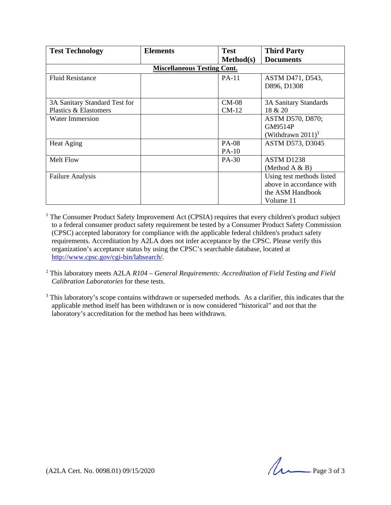| <b>Test Technology</b>             | <b>Elements</b> | <b>Test</b>      | <b>Third Party</b>               |  |  |
|------------------------------------|-----------------|------------------|----------------------------------|--|--|
|                                    |                 | <b>Method(s)</b> | <b>Documents</b>                 |  |  |
| <b>Miscellaneous Testing Cont.</b> |                 |                  |                                  |  |  |
| <b>Fluid Resistance</b>            |                 | $PA-11$          | ASTM D471, D543,                 |  |  |
|                                    |                 |                  | D896, D1308                      |  |  |
|                                    |                 |                  |                                  |  |  |
| 3A Sanitary Standard Test for      |                 | $CM-08$          | 3A Sanitary Standards            |  |  |
| Plastics & Elastomers              |                 | $CM-12$          | 18 & 20                          |  |  |
| <b>Water Immersion</b>             |                 |                  | ASTM D570, D870;                 |  |  |
|                                    |                 |                  | GM9514P                          |  |  |
|                                    |                 |                  | (Withdrawn $2011$ ) <sup>3</sup> |  |  |
| Heat Aging                         |                 | <b>PA-08</b>     | <b>ASTM D573, D3045</b>          |  |  |
|                                    |                 | $PA-10$          |                                  |  |  |
| <b>Melt Flow</b>                   |                 | PA-30            | ASTM D1238                       |  |  |
|                                    |                 |                  | (Method $A & B$ )                |  |  |
| <b>Failure Analysis</b>            |                 |                  | Using test methods listed        |  |  |
|                                    |                 |                  | above in accordance with         |  |  |
|                                    |                 |                  | the ASM Handbook                 |  |  |
|                                    |                 |                  | Volume 11                        |  |  |

<sup>1</sup> The Consumer Product Safety Improvement Act (CPSIA) requires that every children's product subject to a federal consumer product safety requirement be tested by a Consumer Product Safety Commission (CPSC) accepted laboratory for compliance with the applicable federal children's product safety requirements. Accreditation by A2LA does not infer acceptance by the CPSC. Please verify this organization's acceptance status by using the CPSC's searchable database, located at http://www.cpsc.gov/cgi-bin/labsearch/.

- <sup>2</sup> This laboratory meets A2LA *R104 General Requirements: Accreditation of Field Testing and Field Calibration Laboratories* for these tests.
- <sup>3</sup> This laboratory's scope contains withdrawn or superseded methods. As a clarifier, this indicates that the applicable method itself has been withdrawn or is now considered "historical" and not that the laboratory's accreditation for the method has been withdrawn.

 $(42LA$  Cert. No. 0098.01) 09/15/2020